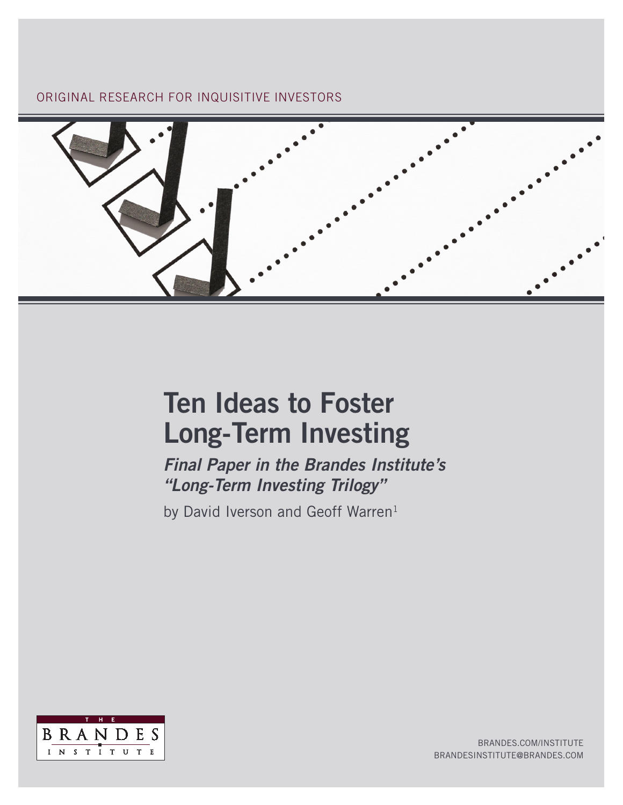ORIGINAL RESEARCH FOR INQUISITIVE INVESTORS



# Ten Ideas to Foster Long-Term Investing

*Final Paper in the Brandes Institute's "Long-Term Investing Trilogy"* 

by David Iverson and Geoff Warren<sup>1</sup>



BRANDES.COM/INSTITUTE BRANDESINSTITUTE@BRANDES.COM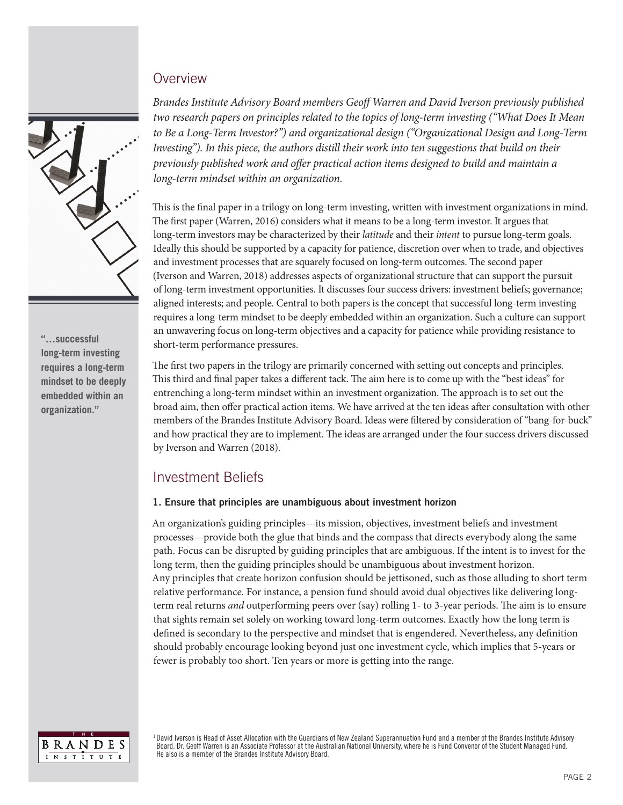## **Overview**



**"…successful long-term investing requires a long-term mindset to be deeply embedded within an organization."**

*Brandes Institute Advisory Board members Geoff Warren and David Iverson previously published two research papers on principles related to the topics of long-term investing ("What Does It Mean to Be a Long-Term Investor?") and organizational design ("Organizational Design and Long-Term Investing"). In this piece, the authors distill their work into ten suggestions that build on their previously published work and offer practical action items designed to build and maintain a long-term mindset within an organization.* 

This is the final paper in a trilogy on long-term investing, written with investment organizations in mind. The first paper (Warren, 2016) considers what it means to be a long-term investor. It argues that long-term investors may be characterized by their *latitude* and their *intent* to pursue long-term goals. Ideally this should be supported by a capacity for patience, discretion over when to trade, and objectives and investment processes that are squarely focused on long-term outcomes. The second paper (Iverson and Warren, 2018) addresses aspects of organizational structure that can support the pursuit of long-term investment opportunities. It discusses four success drivers: investment beliefs; governance; aligned interests; and people. Central to both papers is the concept that successful long-term investing requires a long-term mindset to be deeply embedded within an organization. Such a culture can support an unwavering focus on long-term objectives and a capacity for patience while providing resistance to short-term performance pressures.

The first two papers in the trilogy are primarily concerned with setting out concepts and principles. This third and final paper takes a different tack. The aim here is to come up with the "best ideas" for entrenching a long-term mindset within an investment organization. The approach is to set out the broad aim, then offer practical action items. We have arrived at the ten ideas after consultation with other members of the Brandes Institute Advisory Board. Ideas were filtered by consideration of "bang-for-buck" and how practical they are to implement. The ideas are arranged under the four success drivers discussed by Iverson and Warren (2018).

# Investment Beliefs

## 1. Ensure that principles are unambiguous about investment horizon

An organization's guiding principles—its mission, objectives, investment beliefs and investment processes—provide both the glue that binds and the compass that directs everybody along the same path. Focus can be disrupted by guiding principles that are ambiguous. If the intent is to invest for the long term, then the guiding principles should be unambiguous about investment horizon. Any principles that create horizon confusion should be jettisoned, such as those alluding to short term relative performance. For instance, a pension fund should avoid dual objectives like delivering longterm real returns *and* outperforming peers over (say) rolling 1- to 3-year periods. The aim is to ensure that sights remain set solely on working toward long-term outcomes. Exactly how the long term is defined is secondary to the perspective and mindset that is engendered. Nevertheless, any definition should probably encourage looking beyond just one investment cycle, which implies that 5-years or fewer is probably too short. Ten years or more is getting into the range.



1 David Iverson is Head of Asset Allocation with the Guardians of New Zealand Superannuation Fund and a member of the Brandes Institute Advisory Board. Dr. Geoff Warren is an Associate Professor at the Australian National University, where he is Fund Convenor of the Student Managed Fund. He also is a member of the Brandes Institute Advisory Board.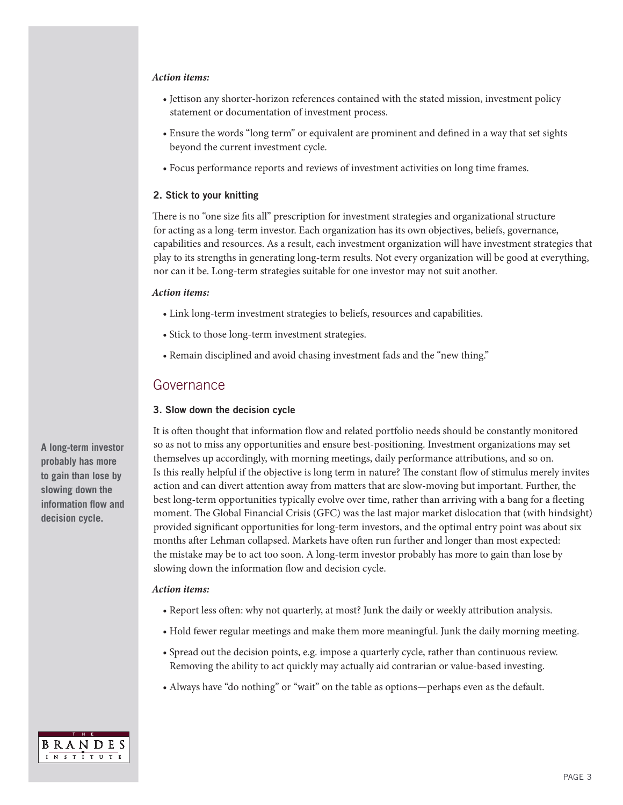#### *Action items:*

- Jettison any shorter-horizon references contained with the stated mission, investment policy statement or documentation of investment process.
- Ensure the words "long term" or equivalent are prominent and defined in a way that set sights beyond the current investment cycle.
- Focus performance reports and reviews of investment activities on long time frames.

#### 2. Stick to your knitting

There is no "one size fits all" prescription for investment strategies and organizational structure for acting as a long-term investor. Each organization has its own objectives, beliefs, governance, capabilities and resources. As a result, each investment organization will have investment strategies that play to its strengths in generating long-term results. Not every organization will be good at everything, nor can it be. Long-term strategies suitable for one investor may not suit another.

#### *Action items:*

- Link long-term investment strategies to beliefs, resources and capabilities.
- Stick to those long-term investment strategies.
- Remain disciplined and avoid chasing investment fads and the "new thing."

## Governance

#### 3. Slow down the decision cycle

It is often thought that information flow and related portfolio needs should be constantly monitored so as not to miss any opportunities and ensure best-positioning. Investment organizations may set themselves up accordingly, with morning meetings, daily performance attributions, and so on. Is this really helpful if the objective is long term in nature? The constant flow of stimulus merely invites action and can divert attention away from matters that are slow-moving but important. Further, the best long-term opportunities typically evolve over time, rather than arriving with a bang for a fleeting moment. The Global Financial Crisis (GFC) was the last major market dislocation that (with hindsight) provided significant opportunities for long-term investors, and the optimal entry point was about six months after Lehman collapsed. Markets have often run further and longer than most expected: the mistake may be to act too soon. A long-term investor probably has more to gain than lose by slowing down the information flow and decision cycle.

#### *Action items:*

- Report less often: why not quarterly, at most? Junk the daily or weekly attribution analysis.
- Hold fewer regular meetings and make them more meaningful. Junk the daily morning meeting.
- Spread out the decision points, e.g. impose a quarterly cycle, rather than continuous review. Removing the ability to act quickly may actually aid contrarian or value-based investing.
- Always have "do nothing" or "wait" on the table as options—perhaps even as the default.



**BRANDES** INSTITUTE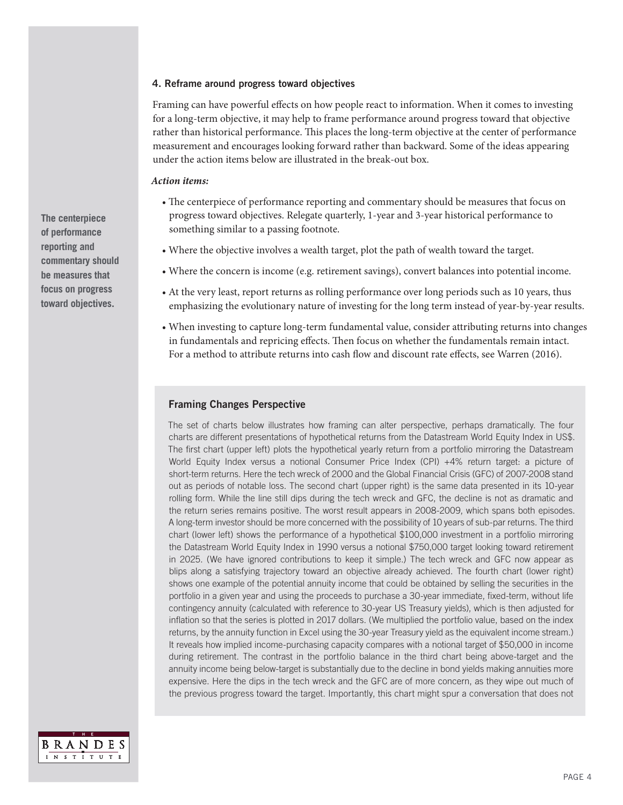#### 4. Reframe around progress toward objectives

Framing can have powerful effects on how people react to information. When it comes to investing for a long-term objective, it may help to frame performance around progress toward that objective rather than historical performance. This places the long-term objective at the center of performance measurement and encourages looking forward rather than backward. Some of the ideas appearing under the action items below are illustrated in the break-out box.

#### *Action items:*

- The centerpiece of performance reporting and commentary should be measures that focus on progress toward objectives. Relegate quarterly, 1-year and 3-year historical performance to something similar to a passing footnote.
- Where the objective involves a wealth target, plot the path of wealth toward the target.
- Where the concern is income (e.g. retirement savings), convert balances into potential income.
- At the very least, report returns as rolling performance over long periods such as 10 years, thus emphasizing the evolutionary nature of investing for the long term instead of year-by-year results.
- When investing to capture long-term fundamental value, consider attributing returns into changes in fundamentals and repricing effects. Then focus on whether the fundamentals remain intact. For a method to attribute returns into cash flow and discount rate effects, see Warren (2016).

## Framing Changes Perspective

The set of charts below illustrates how framing can alter perspective, perhaps dramatically. The four charts are different presentations of hypothetical returns from the Datastream World Equity Index in US\$. The first chart (upper left) plots the hypothetical yearly return from a portfolio mirroring the Datastream World Equity Index versus a notional Consumer Price Index (CPI) +4% return target: a picture of short-term returns. Here the tech wreck of 2000 and the Global Financial Crisis (GFC) of 2007-2008 stand out as periods of notable loss. The second chart (upper right) is the same data presented in its 10-year rolling form. While the line still dips during the tech wreck and GFC, the decline is not as dramatic and the return series remains positive. The worst result appears in 2008-2009, which spans both episodes. A long-term investor should be more concerned with the possibility of 10 years of sub-par returns. The third chart (lower left) shows the performance of a hypothetical \$100,000 investment in a portfolio mirroring the Datastream World Equity Index in 1990 versus a notional \$750,000 target looking toward retirement in 2025. (We have ignored contributions to keep it simple.) The tech wreck and GFC now appear as blips along a satisfying trajectory toward an objective already achieved. The fourth chart (lower right) shows one example of the potential annuity income that could be obtained by selling the securities in the portfolio in a given year and using the proceeds to purchase a 30-year immediate, fixed-term, without life contingency annuity (calculated with reference to 30-year US Treasury yields), which is then adjusted for inflation so that the series is plotted in 2017 dollars. (We multiplied the portfolio value, based on the index returns, by the annuity function in Excel using the 30-year Treasury yield as the equivalent income stream.) It reveals how implied income-purchasing capacity compares with a notional target of \$50,000 in income during retirement. The contrast in the portfolio balance in the third chart being above-target and the annuity income being below-target is substantially due to the decline in bond yields making annuities more expensive. Here the dips in the tech wreck and the GFC are of more concern, as they wipe out much of the previous progress toward the target. Importantly, this chart might spur a conversation that does not



**The centerpiece of performance reporting and commentary should be measures that focus on progress toward objectives.**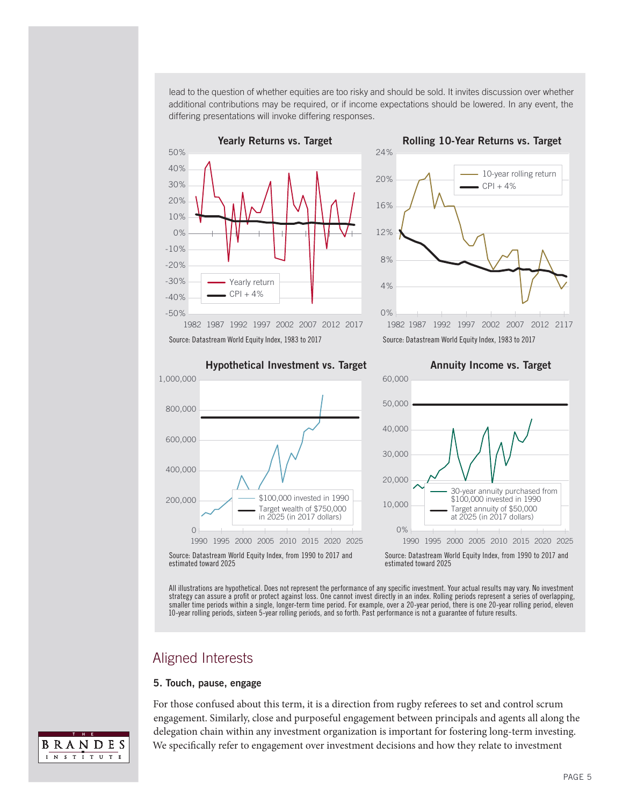lead to the question of whether equities are too risky and should be sold. It invites discussion over whether additional contributions may be required, or if income expectations should be lowered. In any event, the differing presentations will invoke differing responses.





Hypothetical Investment vs. Target





Source: Datastream World Equity Index, from 1990 to 2017 and estimated toward 2025

Source: Datastream World Equity Index, from 1990 to 2017 and estimated toward 2025

All illustrations are hypothetical. Does not represent the performance of any specific investment. Your actual results may vary. No investment strategy can assure a profit or protect against loss. One cannot invest directly in an index. Rolling periods represent a series of overlapping, smaller time periods within a single, longer-term time period. For example, over a 20-year period, there is one 20-year rolling period, eleven 10-year rolling periods, sixteen 5-year rolling periods, and so forth. Past performance is not a guarantee of future results.

# Aligned Interests

#### 5. Touch, pause, engage

For those confused about this term, it is a direction from rugby referees to set and control scrum engagement. Similarly, close and purposeful engagement between principals and agents all along the delegation chain within any investment organization is important for fostering long-term investing. We specifically refer to engagement over investment decisions and how they relate to investment

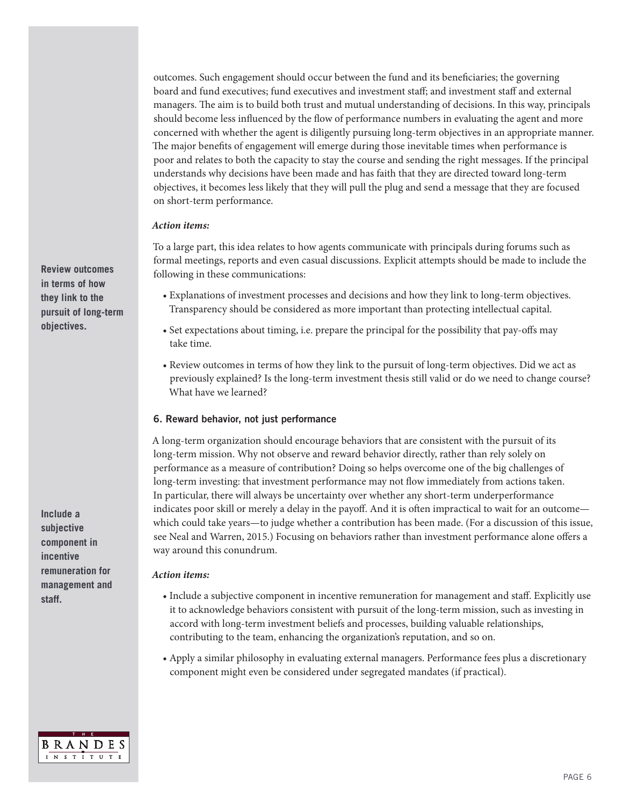outcomes. Such engagement should occur between the fund and its beneficiaries; the governing board and fund executives; fund executives and investment staff; and investment staff and external managers. The aim is to build both trust and mutual understanding of decisions. In this way, principals should become less influenced by the flow of performance numbers in evaluating the agent and more concerned with whether the agent is diligently pursuing long-term objectives in an appropriate manner. The major benefits of engagement will emerge during those inevitable times when performance is poor and relates to both the capacity to stay the course and sending the right messages. If the principal understands why decisions have been made and has faith that they are directed toward long-term objectives, it becomes less likely that they will pull the plug and send a message that they are focused on short-term performance.

#### *Action items:*

To a large part, this idea relates to how agents communicate with principals during forums such as formal meetings, reports and even casual discussions. Explicit attempts should be made to include the following in these communications:

- Explanations of investment processes and decisions and how they link to long-term objectives. Transparency should be considered as more important than protecting intellectual capital.
- Set expectations about timing, i.e. prepare the principal for the possibility that pay-offs may take time.
- Review outcomes in terms of how they link to the pursuit of long-term objectives. Did we act as previously explained? Is the long-term investment thesis still valid or do we need to change course? What have we learned?

## 6. Reward behavior, not just performance

A long-term organization should encourage behaviors that are consistent with the pursuit of its long-term mission. Why not observe and reward behavior directly, rather than rely solely on performance as a measure of contribution? Doing so helps overcome one of the big challenges of long-term investing: that investment performance may not flow immediately from actions taken. In particular, there will always be uncertainty over whether any short-term underperformance indicates poor skill or merely a delay in the payoff. And it is often impractical to wait for an outcome which could take years—to judge whether a contribution has been made. (For a discussion of this issue, see Neal and Warren, 2015.) Focusing on behaviors rather than investment performance alone offers a way around this conundrum.

#### *Action items:*

- Include a subjective component in incentive remuneration for management and staff. Explicitly use it to acknowledge behaviors consistent with pursuit of the long-term mission, such as investing in accord with long-term investment beliefs and processes, building valuable relationships, contributing to the team, enhancing the organization's reputation, and so on.
- Apply a similar philosophy in evaluating external managers. Performance fees plus a discretionary component might even be considered under segregated mandates (if practical).



**Review outcomes in terms of how they link to the pursuit of long-term objectives.**

**Include a subjective component in incentive remuneration for management and staff.**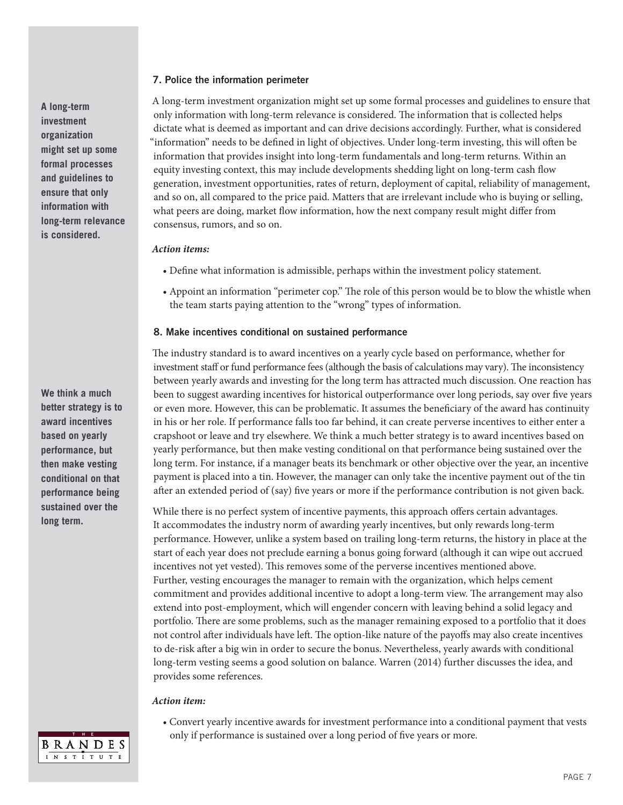#### 7. Police the information perimeter

A long-term investment organization might set up some formal processes and guidelines to ensure that only information with long-term relevance is considered. The information that is collected helps dictate what is deemed as important and can drive decisions accordingly. Further, what is considered "information" needs to be defined in light of objectives. Under long-term investing, this will often be information that provides insight into long-term fundamentals and long-term returns. Within an equity investing context, this may include developments shedding light on long-term cash flow generation, investment opportunities, rates of return, deployment of capital, reliability of management, and so on, all compared to the price paid. Matters that are irrelevant include who is buying or selling, what peers are doing, market flow information, how the next company result might differ from consensus, rumors, and so on.

#### *Action items:*

- Define what information is admissible, perhaps within the investment policy statement.
- Appoint an information "perimeter cop." The role of this person would be to blow the whistle when the team starts paying attention to the "wrong" types of information.

#### 8. Make incentives conditional on sustained performance

The industry standard is to award incentives on a yearly cycle based on performance, whether for investment staff or fund performance fees (although the basis of calculations may vary). The inconsistency between yearly awards and investing for the long term has attracted much discussion. One reaction has been to suggest awarding incentives for historical outperformance over long periods, say over five years or even more. However, this can be problematic. It assumes the beneficiary of the award has continuity in his or her role. If performance falls too far behind, it can create perverse incentives to either enter a crapshoot or leave and try elsewhere. We think a much better strategy is to award incentives based on yearly performance, but then make vesting conditional on that performance being sustained over the long term. For instance, if a manager beats its benchmark or other objective over the year, an incentive payment is placed into a tin. However, the manager can only take the incentive payment out of the tin after an extended period of (say) five years or more if the performance contribution is not given back.

While there is no perfect system of incentive payments, this approach offers certain advantages. It accommodates the industry norm of awarding yearly incentives, but only rewards long-term performance. However, unlike a system based on trailing long-term returns, the history in place at the start of each year does not preclude earning a bonus going forward (although it can wipe out accrued incentives not yet vested). This removes some of the perverse incentives mentioned above. Further, vesting encourages the manager to remain with the organization, which helps cement commitment and provides additional incentive to adopt a long-term view. The arrangement may also extend into post-employment, which will engender concern with leaving behind a solid legacy and portfolio. There are some problems, such as the manager remaining exposed to a portfolio that it does not control after individuals have left. The option-like nature of the payoffs may also create incentives to de-risk after a big win in order to secure the bonus. Nevertheless, yearly awards with conditional long-term vesting seems a good solution on balance. Warren (2014) further discusses the idea, and provides some references.

#### *Action item:*

• Convert yearly incentive awards for investment performance into a conditional payment that vests only if performance is sustained over a long period of five years or more.

**A long-term investment organization might set up some formal processes and guidelines to ensure that only information with long-term relevance is considered.**

**We think a much better strategy is to award incentives based on yearly performance, but then make vesting conditional on that performance being sustained over the long term.** 

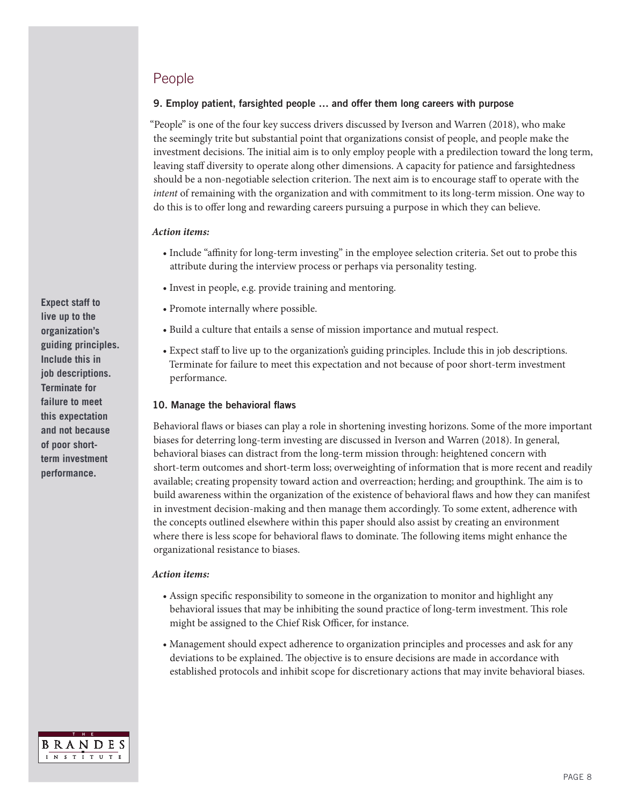# People

## 9. Employ patient, farsighted people … and offer them long careers with purpose

"People" is one of the four key success drivers discussed by Iverson and Warren (2018), who make the seemingly trite but substantial point that organizations consist of people, and people make the investment decisions. The initial aim is to only employ people with a predilection toward the long term, leaving staff diversity to operate along other dimensions. A capacity for patience and farsightedness should be a non-negotiable selection criterion. The next aim is to encourage staff to operate with the *intent* of remaining with the organization and with commitment to its long-term mission. One way to do this is to offer long and rewarding careers pursuing a purpose in which they can believe.

#### *Action items:*

- Include "affinity for long-term investing" in the employee selection criteria. Set out to probe this attribute during the interview process or perhaps via personality testing.
- Invest in people, e.g. provide training and mentoring.
- Promote internally where possible.
- Build a culture that entails a sense of mission importance and mutual respect.
- Expect staff to live up to the organization's guiding principles. Include this in job descriptions. Terminate for failure to meet this expectation and not because of poor short-term investment performance.

#### 10. Manage the behavioral flaws

Behavioral flaws or biases can play a role in shortening investing horizons. Some of the more important biases for deterring long-term investing are discussed in Iverson and Warren (2018). In general, behavioral biases can distract from the long-term mission through: heightened concern with short-term outcomes and short-term loss; overweighting of information that is more recent and readily available; creating propensity toward action and overreaction; herding; and groupthink. The aim is to build awareness within the organization of the existence of behavioral flaws and how they can manifest in investment decision-making and then manage them accordingly. To some extent, adherence with the concepts outlined elsewhere within this paper should also assist by creating an environment where there is less scope for behavioral flaws to dominate. The following items might enhance the organizational resistance to biases.

#### *Action items:*

- Assign specific responsibility to someone in the organization to monitor and highlight any behavioral issues that may be inhibiting the sound practice of long-term investment. This role might be assigned to the Chief Risk Officer, for instance.
- Management should expect adherence to organization principles and processes and ask for any deviations to be explained. The objective is to ensure decisions are made in accordance with established protocols and inhibit scope for discretionary actions that may invite behavioral biases.



**Expect staff to live up to the organization's guiding principles. Include this in job descriptions. Terminate for failure to meet this expectation and not because of poor shortterm investment performance.**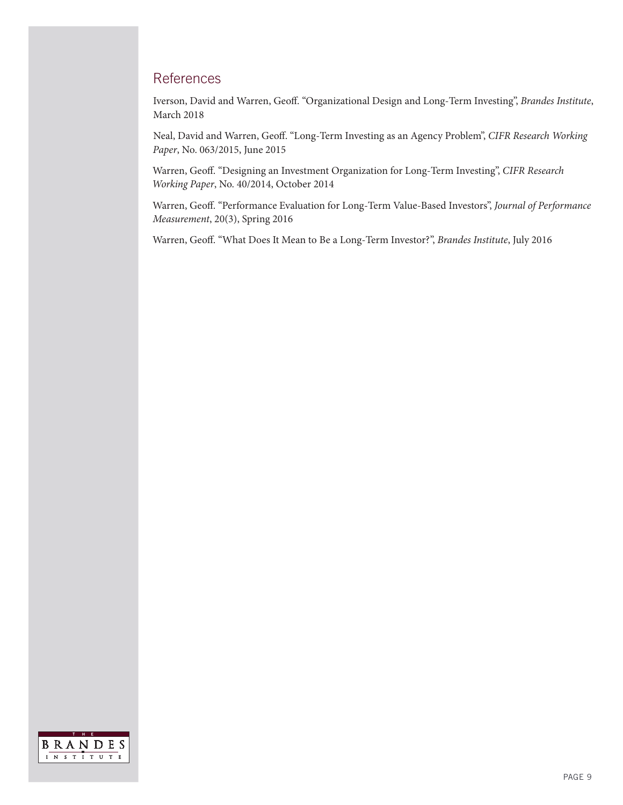# **References**

Iverson, David and Warren, Geoff. "Organizational Design and Long-Term Investing", *Brandes Institute*, March 2018

Neal, David and Warren, Geoff. "Long-Term Investing as an Agency Problem", *CIFR Research Working Paper*, No. 063/2015, June 2015

Warren, Geoff. "Designing an Investment Organization for Long-Term Investing", *CIFR Research Working Paper*, No. 40/2014, October 2014

Warren, Geoff. "Performance Evaluation for Long-Term Value-Based Investors", *Journal of Performance Measurement*, 20(3), Spring 2016

Warren, Geoff. "What Does It Mean to Be a Long-Term Investor?", *Brandes Institute*, July 2016